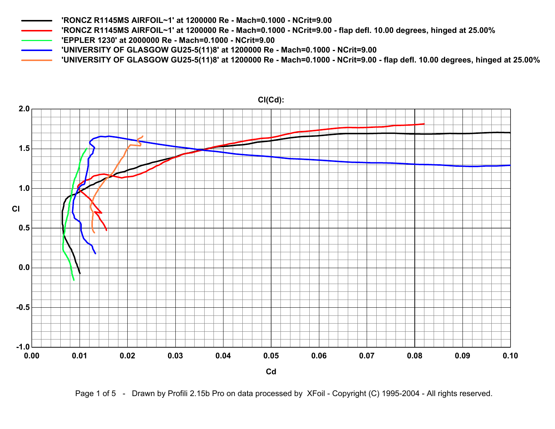- **'RONCZ R1145MS AIRFOIL~1' at 1200000 Re Mach=0.1000 NCrit=9.00 flap defl. 10.00 degrees, hinged at 25.00%**
- **'EPPLER 1230' at 2000000 Re Mach=0.1000 NCrit=9.00**
- **'UNIVERSITY OF GLASGOW GU25-5(11)8' at 1200000 Re Mach=0.1000 NCrit=9.00**
- **'UNIVERSITY OF GLASGOW GU25-5(11)8' at 1200000 Re Mach=0.1000 NCrit=9.00 flap defl. 10.00 degrees, hinged at 25.00%**



**Cl(Cd):**

Page 1 of 5 - Drawn by Profili 2.15b Pro on data processed by XFoil - Copyright (C) 1995-2004 - All rights reserved.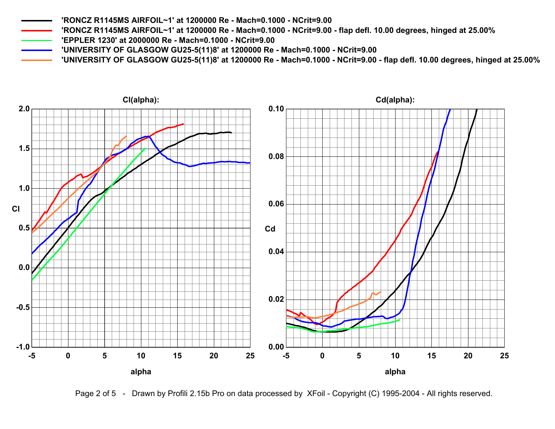**'RONCZ R1145MS AIRFOIL~1' at 1200000 Re - Mach=0.1000 - NCrit=9.00 - flap defl. 10.00 degrees, hinged at 25.00%**

- **'EPPLER 1230' at 2000000 Re Mach=0.1000 NCrit=9.00**
- **'UNIVERSITY OF GLASGOW GU25-5(11)8' at 1200000 Re Mach=0.1000 NCrit=9.00**
- **'UNIVERSITY OF GLASGOW GU25-5(11)8' at 1200000 Re Mach=0.1000 NCrit=9.00 flap defl. 10.00 degrees, hinged at 25.00%**



Page 2 of 5 - Drawn by Profili 2.15b Pro on data processed by XFoil - Copyright (C) 1995-2004 - All rights reserved.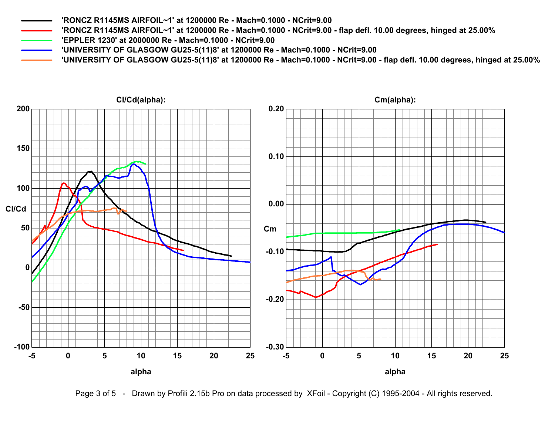**'RONCZ R1145MS AIRFOIL~1' at 1200000 Re - Mach=0.1000 - NCrit=9.00 - flap defl. 10.00 degrees, hinged at 25.00%**

- **'EPPLER 1230' at 2000000 Re Mach=0.1000 NCrit=9.00**
- **'UNIVERSITY OF GLASGOW GU25-5(11)8' at 1200000 Re Mach=0.1000 NCrit=9.00**
- **'UNIVERSITY OF GLASGOW GU25-5(11)8' at 1200000 Re Mach=0.1000 NCrit=9.00 flap defl. 10.00 degrees, hinged at 25.00%**



Page 3 of 5 - Drawn by Profili 2.15b Pro on data processed by XFoil - Copyright (C) 1995-2004 - All rights reserved.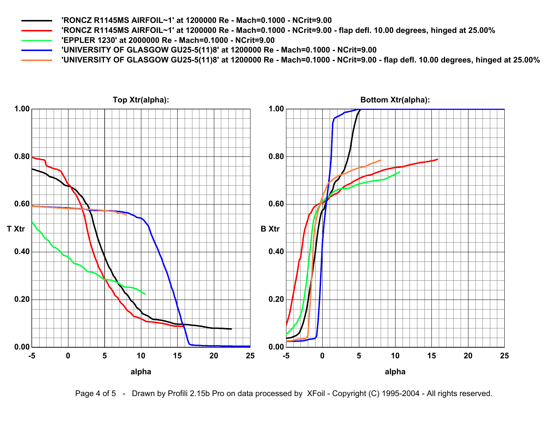**'RONCZ R1145MS AIRFOIL~1' at 1200000 Re - Mach=0.1000 - NCrit=9.00 - flap defl. 10.00 degrees, hinged at 25.00%**

**'EPPLER 1230' at 2000000 Re - Mach=0.1000 - NCrit=9.00**

**'UNIVERSITY OF GLASGOW GU25-5(11)8' at 1200000 Re - Mach=0.1000 - NCrit=9.00**

**'UNIVERSITY OF GLASGOW GU25-5(11)8' at 1200000 Re - Mach=0.1000 - NCrit=9.00 - flap defl. 10.00 degrees, hinged at 25.00%**



Page 4 of 5 - Drawn by Profili 2.15b Pro on data processed by XFoil - Copyright (C) 1995-2004 - All rights reserved.